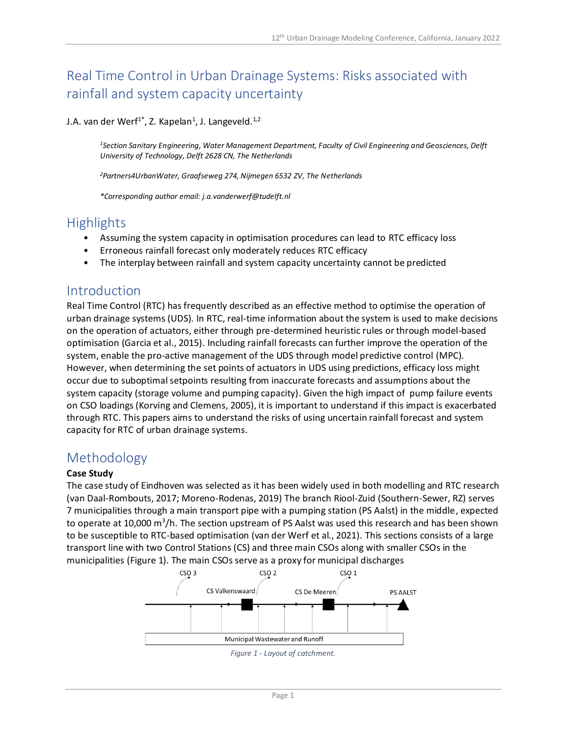# Real Time Control in Urban Drainage Systems: Risks associated with rainfall and system capacity uncertainty

### J.A. van der Werf<sup>1\*</sup>, Z. Kapelan<sup>1</sup>, J. Langeveld.<sup>1,2</sup>

*<sup>1</sup>Section Sanitary Engineering, Water Management Department, Faculty of Civil Engineering and Geosciences, Delft University of Technology, Delft 2628 CN, The Netherlands*

*<sup>2</sup>Partners4UrbanWater, Graafseweg 274, Nijmegen 6532 ZV, The Netherlands*

*\*Corresponding author email: j.a.vanderwerf@tudelft.nl*

### **Highlights**

- Assuming the system capacity in optimisation procedures can lead to RTC efficacy loss
- Erroneous rainfall forecast only moderately reduces RTC efficacy
- The interplay between rainfall and system capacity uncertainty cannot be predicted

### Introduction

Real Time Control (RTC) has frequently described as an effective method to optimise the operation of urban drainage systems (UDS). In RTC, real-time information about the system is used to make decisions on the operation of actuators, either through pre-determined heuristic rules or through model-based optimisation (Garcia et al., 2015). Including rainfall forecasts can further improve the operation of the system, enable the pro-active management of the UDS through model predictive control (MPC). However, when determining the set points of actuators in UDS using predictions, efficacy loss might occur due to suboptimal setpoints resulting from inaccurate forecasts and assumptions about the system capacity (storage volume and pumping capacity). Given the high impact of pump failure events on CSO loadings (Korving and Clemens, 2005), it is important to understand if this impact is exacerbated through RTC. This papers aims to understand the risks of using uncertain rainfall forecast and system capacity for RTC of urban drainage systems.

### Methodology

#### **Case Study**

The case study of Eindhoven was selected as it has been widely used in both modelling and RTC research (van Daal-Rombouts, 2017; Moreno-Rodenas, 2019) The branch Riool-Zuid (Southern-Sewer, RZ) serves 7 municipalities through a main transport pipe with a pumping station (PS Aalst) in the middle, expected to operate at 10,000 m<sup>3</sup>/h. The section upstream of PS Aalst was used this research and has been shown to be susceptible to RTC-based optimisation (van der Werf et al., 2021). This sections consists of a large transport line with two Control Stations (CS) and three main CSOs along with smaller CSOs in the municipalities (Figure 1). The main CSOs serve as a proxy for municipal discharges



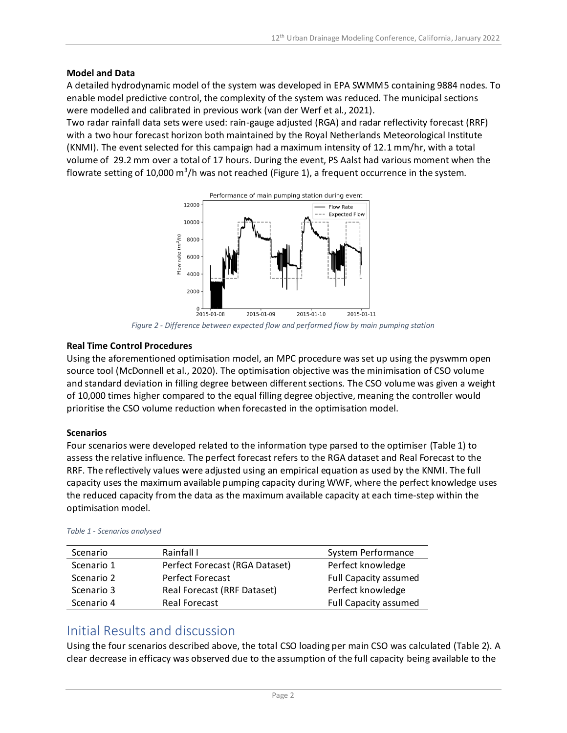#### **Model and Data**

A detailed hydrodynamic model of the system was developed in EPA SWMM5 containing 9884 nodes. To enable model predictive control, the complexity of the system was reduced. The municipal sections were modelled and calibrated in previous work (van der Werf et al., 2021).

Two radar rainfall data sets were used: rain-gauge adjusted (RGA) and radar reflectivity forecast (RRF) with a two hour forecast horizon both maintained by the Royal Netherlands Meteorological Institute (KNMI). The event selected for this campaign had a maximum intensity of 12.1 mm/hr, with a total volume of 29.2 mm over a total of 17 hours. During the event, PS Aalst had various moment when the flowrate setting of 10,000 m<sup>3</sup>/h was not reached (Figure 1), a frequent occurrence in the system.



*Figure 2 - Difference between expected flow and performed flow by main pumping station*

#### **Real Time Control Procedures**

Using the aforementioned optimisation model, an MPC procedure was set up using the pyswmm open source tool (McDonnell et al., 2020). The optimisation objective was the minimisation of CSO volume and standard deviation in filling degree between different sections. The CSO volume was given a weight of 10,000 times higher compared to the equal filling degree objective, meaning the controller would prioritise the CSO volume reduction when forecasted in the optimisation model.

#### **Scenarios**

Four scenarios were developed related to the information type parsed to the optimiser (Table 1) to assess the relative influence. The perfect forecast refers to the RGA dataset and Real Forecast to the RRF. The reflectively values were adjusted using an empirical equation as used by the KNMI. The full capacity uses the maximum available pumping capacity during WWF, where the perfect knowledge uses the reduced capacity from the data as the maximum available capacity at each time-step within the optimisation model.

| Scenario   | Rainfall L                                       | System Performance           |
|------------|--------------------------------------------------|------------------------------|
| Scenario 1 | Perfect Forecast (RGA Dataset)                   | Perfect knowledge            |
| Scenario 2 | <b>Perfect Forecast</b>                          | <b>Full Capacity assumed</b> |
| Scenario 3 | Perfect knowledge<br>Real Forecast (RRF Dataset) |                              |
| Scenario 4 | <b>Real Forecast</b>                             | <b>Full Capacity assumed</b> |

*Table 1 - Scenarios analysed*

### Initial Results and discussion

Using the four scenarios described above, the total CSO loading per main CSO was calculated (Table 2). A clear decrease in efficacy was observed due to the assumption of the full capacity being available to the